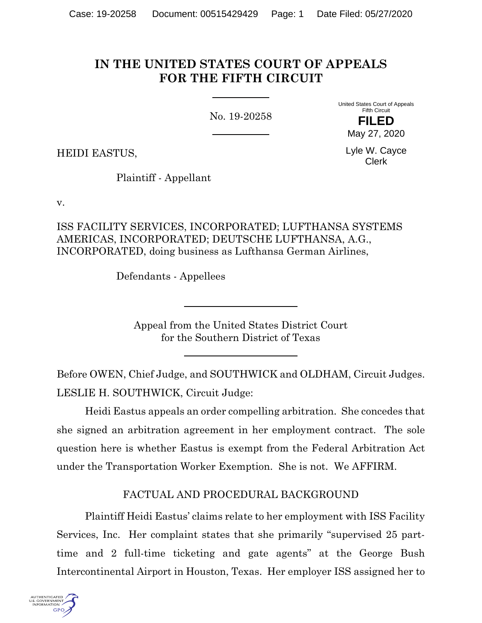# **IN THE UNITED STATES COURT OF APPEALS FOR THE FIFTH CIRCUIT**

No. 19-20258

United States Court of Appeals Fifth Circuit **FILED**

HEIDI EASTUS,

Lyle W. Cayce Clerk

May 27, 2020

Plaintiff - Appellant

v.

ISS FACILITY SERVICES, INCORPORATED; LUFTHANSA SYSTEMS AMERICAS, INCORPORATED; DEUTSCHE LUFTHANSA, A.G., INCORPORATED, doing business as Lufthansa German Airlines,

Defendants - Appellees

Appeal from the United States District Court for the Southern District of Texas

Before OWEN, Chief Judge, and SOUTHWICK and OLDHAM, Circuit Judges. LESLIE H. SOUTHWICK, Circuit Judge:

Heidi Eastus appeals an order compelling arbitration. She concedes that she signed an arbitration agreement in her employment contract. The sole question here is whether Eastus is exempt from the Federal Arbitration Act under the Transportation Worker Exemption. She is not. We AFFIRM.

# FACTUAL AND PROCEDURAL BACKGROUND

Plaintiff Heidi Eastus' claims relate to her employment with ISS Facility Services, Inc. Her complaint states that she primarily "supervised 25 parttime and 2 full-time ticketing and gate agents" at the George Bush Intercontinental Airport in Houston, Texas. Her employer ISS assigned her to

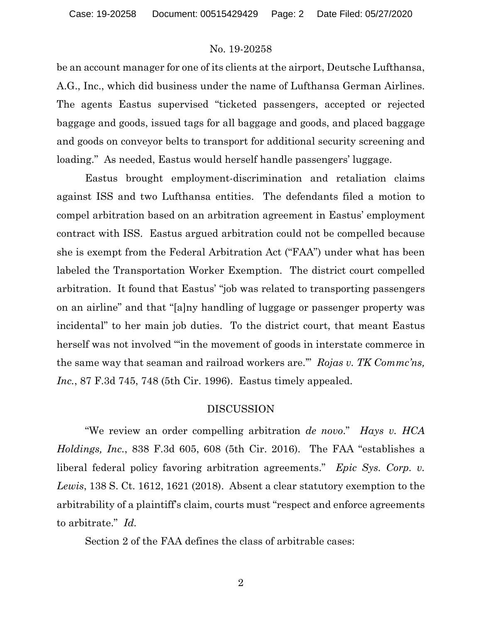be an account manager for one of its clients at the airport, Deutsche Lufthansa, A.G., Inc., which did business under the name of Lufthansa German Airlines. The agents Eastus supervised "ticketed passengers, accepted or rejected baggage and goods, issued tags for all baggage and goods, and placed baggage and goods on conveyor belts to transport for additional security screening and loading." As needed, Eastus would herself handle passengers' luggage.

Eastus brought employment-discrimination and retaliation claims against ISS and two Lufthansa entities. The defendants filed a motion to compel arbitration based on an arbitration agreement in Eastus' employment contract with ISS. Eastus argued arbitration could not be compelled because she is exempt from the Federal Arbitration Act ("FAA") under what has been labeled the Transportation Worker Exemption. The district court compelled arbitration. It found that Eastus' "job was related to transporting passengers on an airline" and that "[a]ny handling of luggage or passenger property was incidental" to her main job duties. To the district court, that meant Eastus herself was not involved "'in the movement of goods in interstate commerce in the same way that seaman and railroad workers are.'" *Rojas v. TK Commc'ns, Inc.*, 87 F.3d 745, 748 (5th Cir. 1996). Eastus timely appealed.

#### DISCUSSION

"We review an order compelling arbitration *de novo*." *Hays v. HCA Holdings, Inc.*, 838 F.3d 605, 608 (5th Cir. 2016). The FAA "establishes a liberal federal policy favoring arbitration agreements." *Epic Sys. Corp. v. Lewis*, 138 S. Ct. 1612, 1621 (2018). Absent a clear statutory exemption to the arbitrability of a plaintiff's claim, courts must "respect and enforce agreements to arbitrate." *Id.* 

Section 2 of the FAA defines the class of arbitrable cases:

2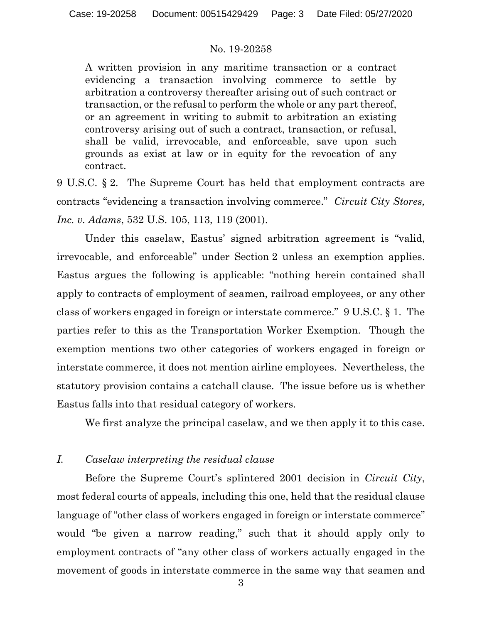A written provision in any maritime transaction or a contract evidencing a transaction involving commerce to settle by arbitration a controversy thereafter arising out of such contract or transaction, or the refusal to perform the whole or any part thereof, or an agreement in writing to submit to arbitration an existing controversy arising out of such a contract, transaction, or refusal, shall be valid, irrevocable, and enforceable, save upon such grounds as exist at law or in equity for the revocation of any contract.

9 U.S.C. § 2. The Supreme Court has held that employment contracts are contracts "evidencing a transaction involving commerce." *Circuit City Stores, Inc. v. Adams*, 532 U.S. 105, 113, 119 (2001).

Under this caselaw, Eastus' signed arbitration agreement is "valid, irrevocable, and enforceable" under Section 2 unless an exemption applies. Eastus argues the following is applicable: "nothing herein contained shall apply to contracts of employment of seamen, railroad employees, or any other class of workers engaged in foreign or interstate commerce." 9 U.S.C. § 1. The parties refer to this as the Transportation Worker Exemption. Though the exemption mentions two other categories of workers engaged in foreign or interstate commerce, it does not mention airline employees. Nevertheless, the statutory provision contains a catchall clause. The issue before us is whether Eastus falls into that residual category of workers.

We first analyze the principal caselaw, and we then apply it to this case.

### *I. Caselaw interpreting the residual clause*

Before the Supreme Court's splintered 2001 decision in *Circuit City*, most federal courts of appeals, including this one, held that the residual clause language of "other class of workers engaged in foreign or interstate commerce" would "be given a narrow reading," such that it should apply only to employment contracts of "any other class of workers actually engaged in the movement of goods in interstate commerce in the same way that seamen and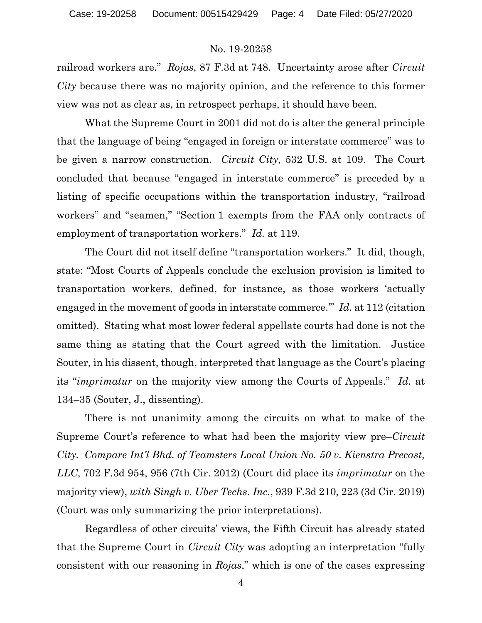railroad workers are." *Rojas*, 87 F.3d at 748. Uncertainty arose after *Circuit City* because there was no majority opinion, and the reference to this former view was not as clear as, in retrospect perhaps, it should have been.

What the Supreme Court in 2001 did not do is alter the general principle that the language of being "engaged in foreign or interstate commerce" was to be given a narrow construction. *Circuit City*, 532 U.S. at 109. The Court concluded that because "engaged in interstate commerce" is preceded by a listing of specific occupations within the transportation industry, "railroad workers" and "seamen," "Section 1 exempts from the FAA only contracts of employment of transportation workers." *Id.* at 119.

The Court did not itself define "transportation workers." It did, though, state: "Most Courts of Appeals conclude the exclusion provision is limited to transportation workers, defined, for instance, as those workers 'actually engaged in the movement of goods in interstate commerce.'" *Id.* at 112 (citation omitted). Stating what most lower federal appellate courts had done is not the same thing as stating that the Court agreed with the limitation. Justice Souter, in his dissent, though, interpreted that language as the Court's placing its "*imprimatur* on the majority view among the Courts of Appeals." *Id.* at 134–35 (Souter, J., dissenting).

There is not unanimity among the circuits on what to make of the Supreme Court's reference to what had been the majority view pre–*Circuit City. Compare Int'l Bhd. of Teamsters Local Union No. 50 v. Kienstra Precast, LLC*, 702 F.3d 954, 956 (7th Cir. 2012) (Court did place its *imprimatur* on the majority view), *with Singh v. Uber Techs. Inc.*, 939 F.3d 210, 223 (3d Cir. 2019) (Court was only summarizing the prior interpretations).

Regardless of other circuits' views, the Fifth Circuit has already stated that the Supreme Court in *Circuit City* was adopting an interpretation "fully consistent with our reasoning in *Rojas*," which is one of the cases expressing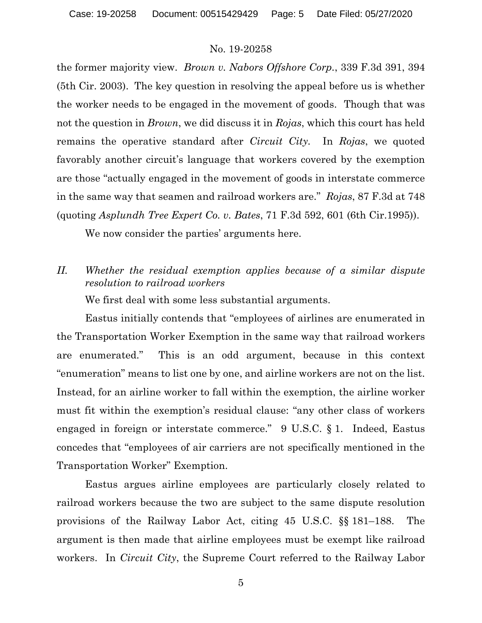the former majority view. *Brown v. Nabors Offshore Corp.*, 339 F.3d 391, 394 (5th Cir. 2003). The key question in resolving the appeal before us is whether the worker needs to be engaged in the movement of goods. Though that was not the question in *Brown*, we did discuss it in *Rojas*, which this court has held remains the operative standard after *Circuit City.* In *Rojas*, we quoted favorably another circuit's language that workers covered by the exemption are those "actually engaged in the movement of goods in interstate commerce in the same way that seamen and railroad workers are." *Rojas*, 87 F.3d at 748 (quoting *Asplundh Tree Expert Co. v. Bates*, 71 F.3d 592, 601 (6th Cir.1995)).

We now consider the parties' arguments here.

*II. Whether the residual exemption applies because of a similar dispute resolution to railroad workers*

We first deal with some less substantial arguments.

Eastus initially contends that "employees of airlines are enumerated in the Transportation Worker Exemption in the same way that railroad workers are enumerated." This is an odd argument, because in this context "enumeration" means to list one by one, and airline workers are not on the list. Instead, for an airline worker to fall within the exemption, the airline worker must fit within the exemption's residual clause: "any other class of workers engaged in foreign or interstate commerce." 9 U.S.C. § 1. Indeed, Eastus concedes that "employees of air carriers are not specifically mentioned in the Transportation Worker" Exemption.

Eastus argues airline employees are particularly closely related to railroad workers because the two are subject to the same dispute resolution provisions of the Railway Labor Act, citing 45 U.S.C. §§ 181–188. The argument is then made that airline employees must be exempt like railroad workers. In *Circuit City*, the Supreme Court referred to the Railway Labor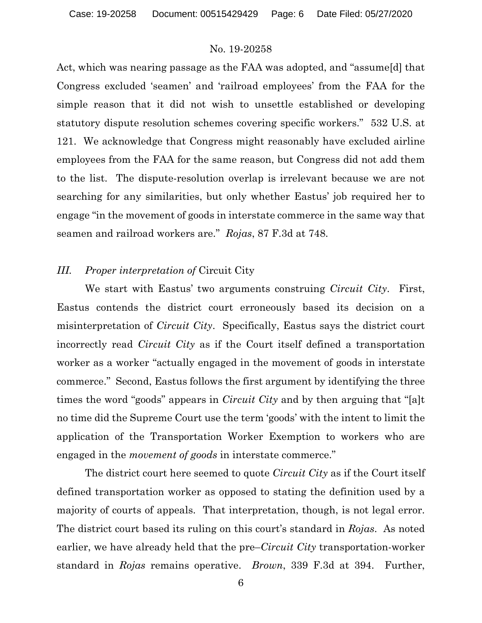Act, which was nearing passage as the FAA was adopted, and "assume[d] that Congress excluded 'seamen' and 'railroad employees' from the FAA for the simple reason that it did not wish to unsettle established or developing statutory dispute resolution schemes covering specific workers." 532 U.S. at 121. We acknowledge that Congress might reasonably have excluded airline employees from the FAA for the same reason, but Congress did not add them to the list. The dispute-resolution overlap is irrelevant because we are not searching for any similarities, but only whether Eastus' job required her to engage "in the movement of goods in interstate commerce in the same way that seamen and railroad workers are." *Rojas*, 87 F.3d at 748.

### *III. Proper interpretation of* Circuit City

We start with Eastus' two arguments construing *Circuit City*. First, Eastus contends the district court erroneously based its decision on a misinterpretation of *Circuit City*. Specifically, Eastus says the district court incorrectly read *Circuit City* as if the Court itself defined a transportation worker as a worker "actually engaged in the movement of goods in interstate commerce." Second, Eastus follows the first argument by identifying the three times the word "goods" appears in *Circuit City* and by then arguing that "[a]t no time did the Supreme Court use the term 'goods' with the intent to limit the application of the Transportation Worker Exemption to workers who are engaged in the *movement of goods* in interstate commerce."

The district court here seemed to quote *Circuit City* as if the Court itself defined transportation worker as opposed to stating the definition used by a majority of courts of appeals. That interpretation, though, is not legal error. The district court based its ruling on this court's standard in *Rojas*. As noted earlier, we have already held that the pre–*Circuit City* transportation-worker standard in *Rojas* remains operative. *Brown*, 339 F.3d at 394. Further,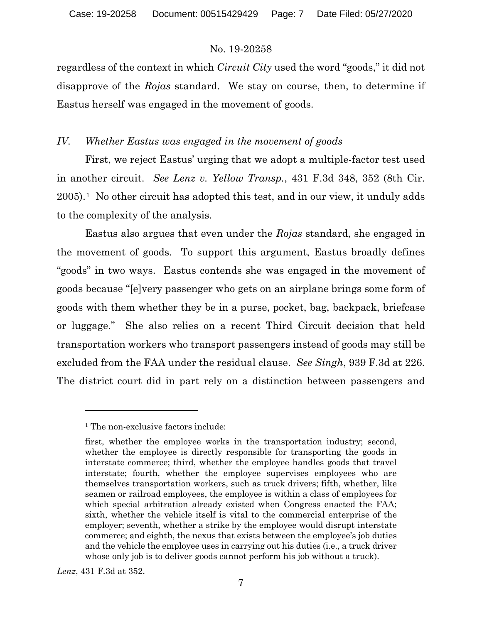regardless of the context in which *Circuit City* used the word "goods," it did not disapprove of the *Rojas* standard. We stay on course, then, to determine if Eastus herself was engaged in the movement of goods.

# *IV. Whether Eastus was engaged in the movement of goods*

First, we reject Eastus' urging that we adopt a multiple-factor test used in another circuit. *See Lenz v. Yellow Transp.*, 431 F.3d 348, 352 (8th Cir. 2005).[1](#page-6-0) No other circuit has adopted this test, and in our view, it unduly adds to the complexity of the analysis.

Eastus also argues that even under the *Rojas* standard, she engaged in the movement of goods. To support this argument, Eastus broadly defines "goods" in two ways. Eastus contends she was engaged in the movement of goods because "[e]very passenger who gets on an airplane brings some form of goods with them whether they be in a purse, pocket, bag, backpack, briefcase or luggage." She also relies on a recent Third Circuit decision that held transportation workers who transport passengers instead of goods may still be excluded from the FAA under the residual clause. *See Singh*, 939 F.3d at 226. The district court did in part rely on a distinction between passengers and

*Lenz*, 431 F.3d at 352.

<span id="page-6-0"></span><sup>&</sup>lt;sup>1</sup> The non-exclusive factors include:

first, whether the employee works in the transportation industry; second, whether the employee is directly responsible for transporting the goods in interstate commerce; third, whether the employee handles goods that travel interstate; fourth, whether the employee supervises employees who are themselves transportation workers, such as truck drivers; fifth, whether, like seamen or railroad employees, the employee is within a class of employees for which special arbitration already existed when Congress enacted the FAA; sixth, whether the vehicle itself is vital to the commercial enterprise of the employer; seventh, whether a strike by the employee would disrupt interstate commerce; and eighth, the nexus that exists between the employee's job duties and the vehicle the employee uses in carrying out his duties (i.e., a truck driver whose only job is to deliver goods cannot perform his job without a truck).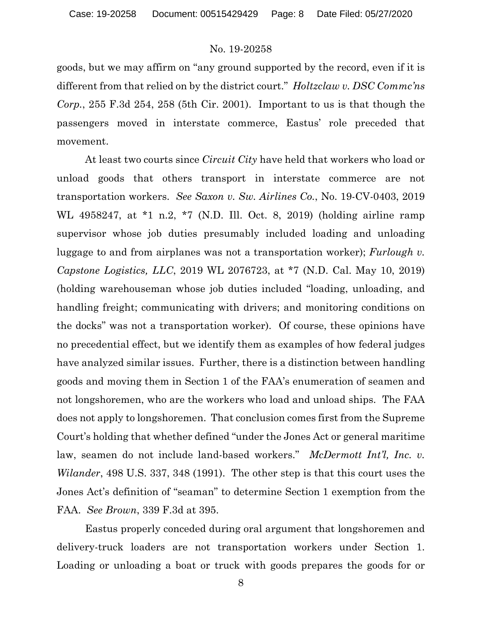goods, but we may affirm on "any ground supported by the record, even if it is different from that relied on by the district court." *Holtzclaw v. DSC Commc'ns Corp.*, 255 F.3d 254, 258 (5th Cir. 2001). Important to us is that though the passengers moved in interstate commerce, Eastus' role preceded that movement.

At least two courts since *Circuit City* have held that workers who load or unload goods that others transport in interstate commerce are not transportation workers. *See Saxon v. Sw. Airlines Co.*, No. 19-CV-0403, 2019 WL 4958247, at \*1 n.2, \*7 (N.D. Ill. Oct. 8, 2019) (holding airline ramp supervisor whose job duties presumably included loading and unloading luggage to and from airplanes was not a transportation worker); *Furlough v. Capstone Logistics, LLC*, 2019 WL 2076723, at \*7 (N.D. Cal. May 10, 2019) (holding warehouseman whose job duties included "loading, unloading, and handling freight; communicating with drivers; and monitoring conditions on the docks" was not a transportation worker). Of course, these opinions have no precedential effect, but we identify them as examples of how federal judges have analyzed similar issues. Further, there is a distinction between handling goods and moving them in Section 1 of the FAA's enumeration of seamen and not longshoremen, who are the workers who load and unload ships. The FAA does not apply to longshoremen. That conclusion comes first from the Supreme Court's holding that whether defined "under the Jones Act or general maritime law, seamen do not include land-based workers." *McDermott Int'l, Inc. v. Wilander*, 498 U.S. 337, 348 (1991). The other step is that this court uses the Jones Act's definition of "seaman" to determine Section 1 exemption from the FAA. *See Brown*, 339 F.3d at 395.

Eastus properly conceded during oral argument that longshoremen and delivery-truck loaders are not transportation workers under Section 1. Loading or unloading a boat or truck with goods prepares the goods for or

8